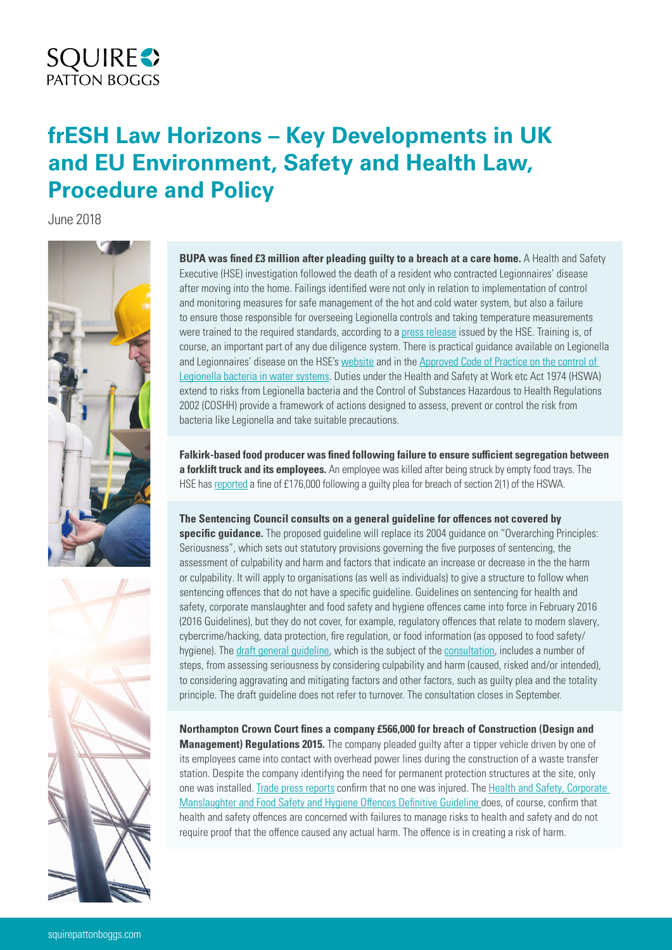## **SQUIRE**<sup>2</sup>

## **frESH Law Horizons – Key Developments in UK and EU Environment, Safety and Health Law, Procedure and Policy**

June 2018



**BUPA was fined £3 million after pleading guilty to a breach at a care home.** A Health and Safety Executive (HSE) investigation followed the death of a resident who contracted Legionnaires' disease after moving into the home. Failings identified were not only in relation to implementation of control and monitoring measures for safe management of the hot and cold water system, but also a failure to ensure those responsible for overseeing Legionella controls and taking temperature measurements were trained to the required standards, according to a [press release](http://press.hse.gov.uk/2018/bupa-fined-3m-after-death-of-elderly-resident/) issued by the HSE. Training is, of course, an important part of any due diligence system. There is practical guidance available on Legionella and Legionnaires' disease on the HSE's [website](http://www.hse.gov.uk/legionnaires/) and in the [Approved Code of Practice on the control of](http://www.hse.gov.uk/pubns/books/l8.htm)  [Legionella bacteria in water systems.](http://www.hse.gov.uk/pubns/books/l8.htm) Duties under the Health and Safety at Work etc Act 1974 (HSWA) extend to risks from Legionella bacteria and the Control of Substances Hazardous to Health Regulations 2002 (COSHH) provide a framework of actions designed to assess, prevent or control the risk from bacteria like Legionella and take suitable precautions.

**Falkirk-based food producer was fined following failure to ensure sufficient segregation between a forklift truck and its employees.** An employee was killed after being struck by empty food trays. The HSE has [reported](http://press.hse.gov.uk/2018/falkirk-company-fined-after-employee-killed/) a fine of £176,000 following a guilty plea for breach of section 2(1) of the HSWA.

**The Sentencing Council consults on a general guideline for offences not covered by** 

**specific guidance.** The proposed guideline will replace its 2004 guidance on "Overarching Principles: Seriousness", which sets out statutory provisions governing the five purposes of sentencing, the assessment of culpability and harm and factors that indicate an increase or decrease in the the harm or culpability. It will apply to organisations (as well as individuals) to give a structure to follow when sentencing offences that do not have a specific guideline. Guidelines on sentencing for health and safety, corporate manslaughter and food safety and hygiene offences came into force in February 2016 (2016 Guidelines), but they do not cover, for example, regulatory offences that relate to modern slavery, cybercrime/hacking, data protection, fire regulation, or food information (as opposed to food safety/ hygiene). The [draft general guideline,](https://www.sentencingcouncil.org.uk/offences/item/general-guideline-sentencing-offences-for-which-there-is-no-definitive-guideline-for-consultation-only/) which is the subject of the [consultation](https://www.sentencingcouncil.org.uk/consultations/general-guideline-consultation/), includes a number of steps, from assessing seriousness by considering culpability and harm (caused, risked and/or intended), to considering aggravating and mitigating factors and other factors, such as guilty plea and the totality principle. The draft guideline does not refer to turnover. The consultation closes in September.

**Northampton Crown Court fines a company £566,000 for breach of Construction (Design and Management) Regulations 2015.** The company pleaded guilty after a tipper vehicle driven by one of its employees came into contact with overhead power lines during the construction of a waste transfer station. Despite the company identifying the need for permanent protection structures at the site, only one was installed. [Trade press reports](https://www.constructionnews.co.uk/best-practice/health-and-safety/firm-fined-566k-after-tipper-truck-hits-power-line/10031531.article) confirm that no one was injured. The [Health and Safety, Corporate](https://www.sentencingcouncil.org.uk/wp-content/uploads/HS-offences-definitive-guideline-FINAL-web.pdf?_sm_au_=iVVt33kN2HqTSNFH)  [Manslaughter and Food Safety and Hygiene Offences Definitive Guideline](https://www.sentencingcouncil.org.uk/wp-content/uploads/HS-offences-definitive-guideline-FINAL-web.pdf?_sm_au_=iVVt33kN2HqTSNFH) does, of course, confirm that health and safety offences are concerned with failures to manage risks to health and safety and do not require proof that the offence caused any actual harm. The offence is in creating a risk of harm.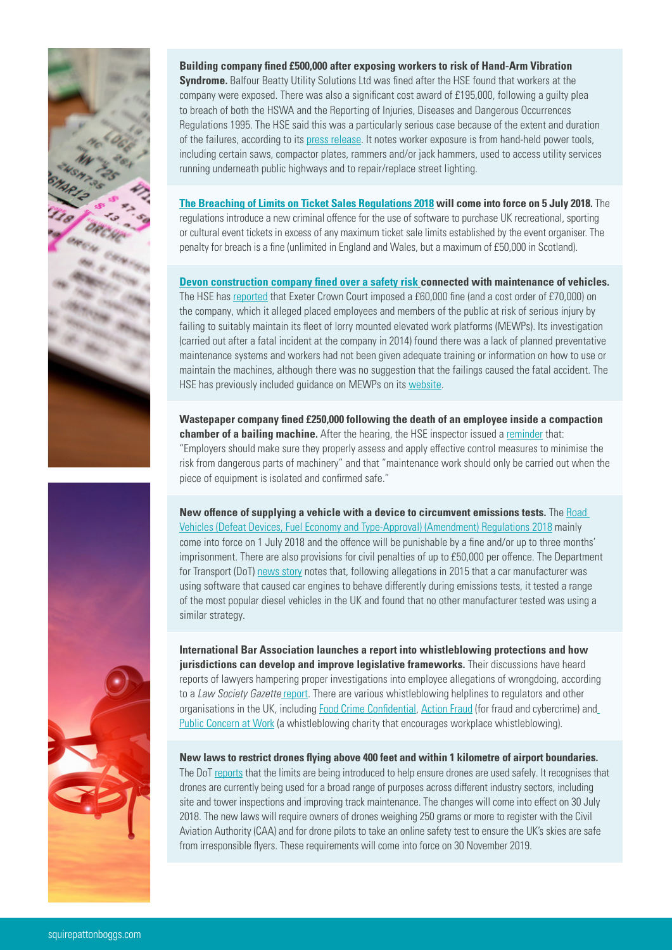

**Building company fined £500,000 after exposing workers to risk of Hand-Arm Vibration Syndrome.** Balfour Beatty Utility Solutions Ltd was fined after the HSE found that workers at the company were exposed. There was also a significant cost award of £195,000, following a guilty plea to breach of both the HSWA and the Reporting of Injuries, Diseases and Dangerous Occurrences Regulations 1995. The HSE said this was a particularly serious case because of the extent and duration of the failures, according to its [press release](http://press.hse.gov.uk/2018/balfour-beatty-utility-solutions-ltd-fined-half-a-million-pounds-after-exposing-workers-to-debilitating-condition/). It notes worker exposure is from hand-held power tools, including certain saws, compactor plates, rammers and/or jack hammers, used to access utility services running underneath public highways and to repair/replace street lighting.

**[The Breaching of Limits on Ticket Sales Regulations 2018](http://www.legislation.gov.uk/ukdsi/2018/9780111168950) will come into force on 5 July 2018.** The regulations introduce a new criminal offence for the use of software to purchase UK recreational, sporting or cultural event tickets in excess of any maximum ticket sale limits established by the event organiser. The penalty for breach is a fine (unlimited in England and Wales, but a maximum of £50,000 in Scotland).

**[Devon construction company fined over a safety risk](http://squireresearch.infongen.com/Newsletters/Article/Show?nid=NL_28174362827&sid=SC_28606150933&aid=AR_30876853242&ui=NPVLc0Vs%2F4zXcPwsGw48jafrjMNdX%2BAJSFxakfmKC04%3D&h=LuOoeUHDiabL%2F2WW1j7pxS65xwM%3D) connected with maintenance of vehicles.**  The HSE has [reported](http://press.hse.gov.uk/2018/devon-construction-company-fined-over-safety-risk/) that Exeter Crown Court imposed a £60,000 fine (and a cost order of £70,000) on the company, which it alleged placed employees and members of the public at risk of serious injury by failing to suitably maintain its fleet of lorry mounted elevated work platforms (MEWPs). Its investigation (carried out after a fatal incident at the company in 2014) found there was a lack of planned preventative maintenance systems and workers had not been given adequate training or information on how to use or maintain the machines, although there was no suggestion that the failings caused the fatal accident. The HSE has previously included guidance on MEWPs on its [website](http://www.hse.gov.uk/construction/safetytopics/mewp.htm).

**Wastepaper company fined £250,000 following the death of an employee inside a compaction chamber of a bailing machine.** After the hearing, the HSE inspector issued a [reminder](http://press.hse.gov.uk/2018/company-prosecuted-after-worker-killed/?cr=30-May-2018&eban=govdel-press-release&utm_content=&utm_medium=email&utm_name=&utm_source=govdelivery&utm_term=) that: "Employers should make sure they properly assess and apply effective control measures to minimise the risk from dangerous parts of machinery" and that "maintenance work should only be carried out when the piece of equipment is isolated and confirmed safe."

**New offence of supplying a vehicle with a device to circumvent emissions tests.** The [Road](http://www.legislation.gov.uk/uksi/2018/673/contents/made)  [Vehicles \(Defeat Devices, Fuel Economy and Type-Approval\) \(Amendment\) Regulations 2018](http://www.legislation.gov.uk/uksi/2018/673/contents/made) mainly come into force on 1 July 2018 and the offence will be punishable by a fine and/or up to three months' imprisonment. There are also provisions for civil penalties of up to £50,000 per offence. The Department for Transport (DoT) [news story](https://www.gov.uk/government/news/tough-regulations-brought-in-to-crack-down-on-emissions-cheats) notes that, following allegations in 2015 that a car manufacturer was using software that caused car engines to behave differently during emissions tests, it tested a range of the most popular diesel vehicles in the UK and found that no other manufacturer tested was using a similar strategy.

**International Bar Association launches a report into whistleblowing protections and how jurisdictions can develop and improve legislative frameworks.** Their discussions have heard reports of lawyers hampering proper investigations into employee allegations of wrongdoing, according to a *Law Society Gazette* [report.](https://www.lawgazette.co.uk/law/corrupt-and-elusive-lawyers-hampering-whistleblowing-protections/5066418.article) There are various whistleblowing helplines to regulators and other organisations in the UK, including [Food Crime Confidential,](https://www.food.gov.uk/safety-hygiene/food-crime) [Action Fraud](https://www.actionfraud.police.uk/) (for fraud and cybercrime) and [Public Concern at Work](http://www.pcaw.org.uk/) (a whistleblowing charity that encourages workplace whistleblowing).

**New laws to restrict drones flying above 400 feet and within 1 kilometre of airport boundaries.** The DoT [reports](https://www.gov.uk/government/news/new-drone-laws-bring-added-protection-for-passengers) that the limits are being introduced to help ensure drones are used safely. It recognises that drones are currently being used for a broad range of purposes across different industry sectors, including

site and tower inspections and improving track maintenance. The changes will come into effect on 30 July 2018. The new laws will require owners of drones weighing 250 grams or more to register with the Civil Aviation Authority (CAA) and for drone pilots to take an online safety test to ensure the UK's skies are safe from irresponsible flyers. These requirements will come into force on 30 November 2019.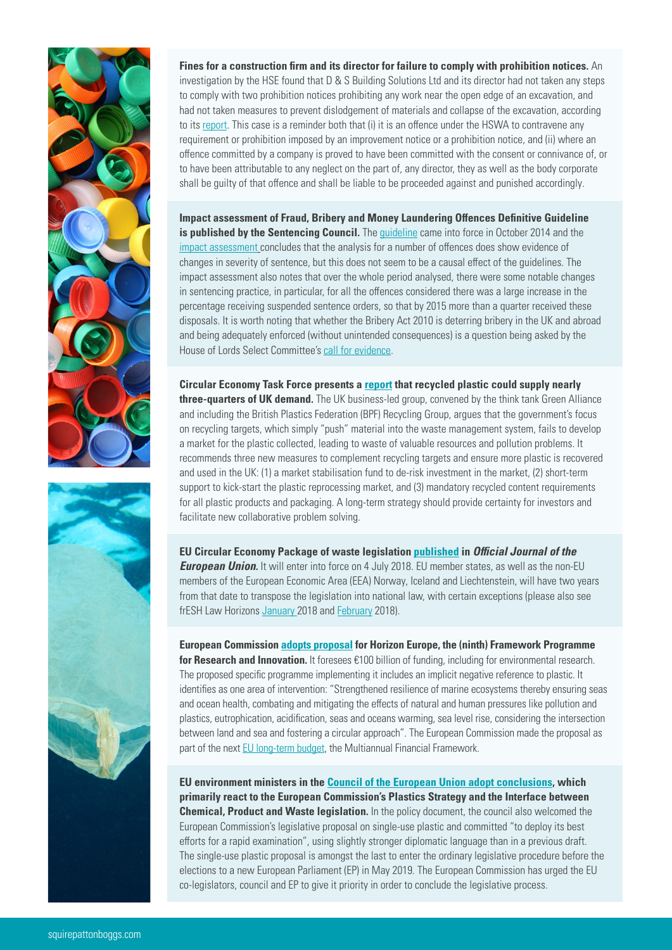

**Fines for a construction firm and its director for failure to comply with prohibition notices.** An investigation by the HSE found that D & S Building Solutions Ltd and its director had not taken any steps to comply with two prohibition notices prohibiting any work near the open edge of an excavation, and had not taken measures to prevent dislodgement of materials and collapse of the excavation, according to its [report](http://press.hse.gov.uk/2018/construction-firm-and-director-fined-for-failure-to-comply-with-prohibition-notices/). This case is a reminder both that (i) it is an offence under the HSWA to contravene any requirement or prohibition imposed by an improvement notice or a prohibition notice, and (ii) where an offence committed by a company is proved to have been committed with the consent or connivance of, or to have been attributable to any neglect on the part of, any director, they as well as the body corporate shall be guilty of that offence and shall be liable to be proceeded against and punished accordingly.

**Impact assessment of Fraud, Bribery and Money Laundering Offences Definitive Guideline is published by the Sentencing Council.** The quideline came into force in October 2014 and the [impact assessment](https://www.sentencingcouncil.org.uk/wp-content/uploads/Fraud-Bribery-and-Money-Laundering-guideline-assessment.pdf) concludes that the analysis for a number of offences does show evidence of changes in severity of sentence, but this does not seem to be a causal effect of the guidelines. The impact assessment also notes that over the whole period analysed, there were some notable changes in sentencing practice, in particular, for all the offences considered there was a large increase in the percentage receiving suspended sentence orders, so that by 2015 more than a quarter received these disposals. It is worth noting that whether the Bribery Act 2010 is deterring bribery in the UK and abroad and being adequately enforced (without unintended consequences) is a question being asked by the House of Lords Select Committee's [call for evidence](https://www.parliament.uk/documents/lords-committees/Bribery-Act-2010/Bribery-Call-for-Evidence.pdf).

**Circular Economy Task Force presents a [report](http://www.green-alliance.org.uk/resources/Completing_the_circle.pdf) that recycled plastic could supply nearly three-quarters of UK demand.** The UK business-led group, convened by the think tank Green Alliance and including the British Plastics Federation (BPF) Recycling Group, argues that the government's focus on recycling targets, which simply "push" material into the waste management system, fails to develop a market for the plastic collected, leading to waste of valuable resources and pollution problems. It recommends three new measures to complement recycling targets and ensure more plastic is recovered and used in the UK: (1) a market stabilisation fund to de-risk investment in the market, (2) short-term support to kick-start the plastic reprocessing market, and (3) mandatory recycled content requirements for all plastic products and packaging. A long-term strategy should provide certainty for investors and facilitate new collaborative problem solving.

**EU Circular Economy Package of waste legislation [published](https://eur-lex.europa.eu/legal-content/EN/TXT/?uri=OJ:L:2018:150:TOC) in** *Official Journal of the European Union*. It will enter into force on 4 July 2018. EU member states, as well as the non-EU members of the European Economic Area (EEA) Norway, Iceland and Liechtenstein, will have two years from that date to transpose the legislation into national law, with certain exceptions (please also see frESH Law Horizons [January](https://www.squirepattonboggs.com/en/insights/publications/2018/01/fresh-law-horizons-key-developments-in-environment-safety-and-health-law-and-procedure) 2018 and [February](https://www.squirepattonboggs.com/en/insights/publications/2018/02/fresh-law-horizons-key-developments-in-uk-and-eu-environment-safety-and-health-law-and-procedure) 2018).

**European Commission [adopts proposal](https://ec.europa.eu/info/designing-next-research-and-innovation-framework-programme/what-shapes-next-framework-programme_en) for Horizon Europe, the (ninth) Framework Programme for Research and Innovation.** It foresees €100 billion of funding, including for environmental research. The proposed specific programme implementing it includes an implicit negative reference to plastic. It identifies as one area of intervention: "Strengthened resilience of marine ecosystems thereby ensuring seas and ocean health, combating and mitigating the effects of natural and human pressures like pollution and plastics, eutrophication, acidification, seas and oceans warming, sea level rise, considering the intersection between land and sea and fostering a circular approach". The European Commission made the proposal as part of the next [EU long-term budget,](https://ec.europa.eu/commission/future-europe/eu-budget-future_en) the Multiannual Financial Framework.

**EU environment ministers in the [Council of the European Union adopt conclusions,](http://dsms.consilium.europa.eu/952/system/newsletter.asp?id=3935320D31373332300D32333033310D35333531390D39323535390D300D654D35314B33384A615048370D310D0D300D37393339360D372E372E302E31383939320D31) which primarily react to the European Commission's Plastics Strategy and the Interface between Chemical, Product and Waste legislation.** In the policy document, the council also welcomed the European Commission's legislative proposal on single-use plastic and committed "to deploy its best efforts for a rapid examination", using slightly stronger diplomatic language than in a previous draft. The single-use plastic proposal is amongst the last to enter the ordinary legislative procedure before the elections to a new European Parliament (EP) in May 2019. The European Commission has urged the EU co-legislators, council and EP to give it priority in order to conclude the legislative process.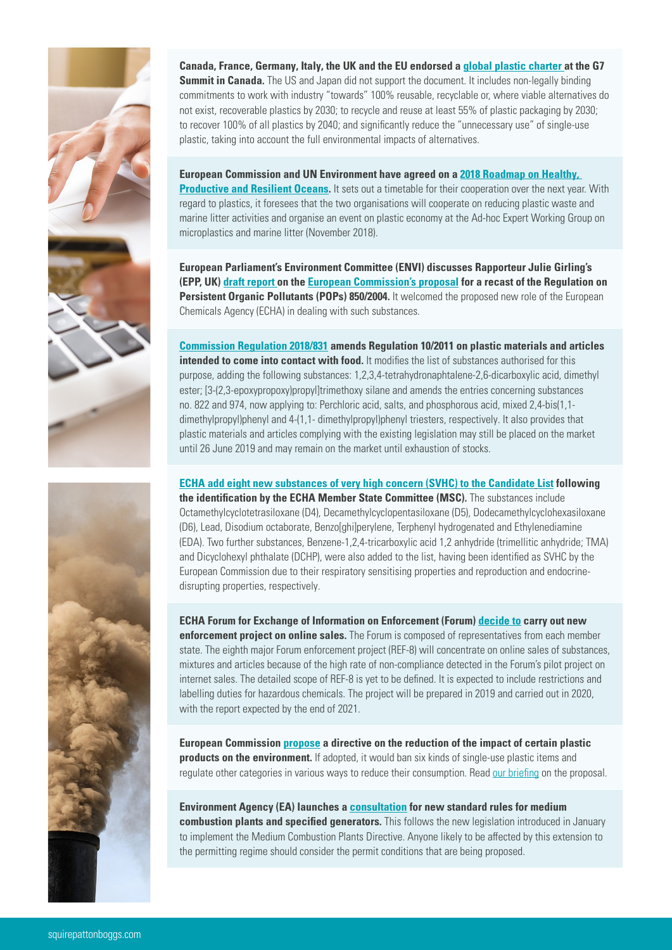

**Canada, France, Germany, Italy, the UK and the [EU](https://www.consilium.europa.eu/en/press/press-releases/2018/06/09/the-charlevoix-g7-summit-communique/) endorsed a [global plastic charter](https://g7.gc.ca/en/official-documents/charlevoix-blueprint-healthy-oceans-seas-resilient-coastal-communities/#a1) at the G7 Summit in Canada.** The US and Japan did not support the document. It includes non-legally binding commitments to work with industry "towards" 100% reusable, recyclable or, where viable alternatives do not exist, recoverable plastics by 2030; to recycle and reuse at least 55% of plastic packaging by 2030; to recover 100% of all plastics by 2040; and significantly reduce the "unnecessary use" of single-use plastic, taking into account the full environmental impacts of alternatives.

**European Commission and UN Environment have agreed on a [2018 Roadmap on Healthy,](http://ec.europa.eu/environment/marine/international-cooperation/pdf/2018_UNEP_EU_roadmap.pdf)  [Productive and Resilient Oceans](http://ec.europa.eu/environment/marine/international-cooperation/pdf/2018_UNEP_EU_roadmap.pdf).** It sets out a timetable for their cooperation over the next year. With regard to plastics, it foresees that the two organisations will cooperate on reducing plastic waste and marine litter activities and organise an event on plastic economy at the Ad-hoc Expert Working Group on microplastics and marine litter (November 2018).

**European Parliament's Environment Committee (ENVI) discusses Rapporteur Julie Girling's (EPP, UK) [draft report](http://www.europarl.europa.eu/sides/getDoc.do?type=COMPARL&mode=XML&language=EN&reference=PE622.205) on the [European Commission's proposal](https://ec.europa.eu/info/law/better-regulation/initiatives/com-2018-144_en) for a recast of the Regulation on Persistent Organic Pollutants (POPs) 850/2004.** It welcomed the proposed new role of the European Chemicals Agency (ECHA) in dealing with such substances.

**[Commission Regulation 2018/831](https://eur-lex.europa.eu/legal-content/EN/TXT/?qid=1530100611284&uri=CELEX:32018R0831) amends Regulation 10/2011 on plastic materials and articles intended to come into contact with food.** It modifies the list of substances authorised for this purpose, adding the following substances: 1,2,3,4-tetrahydronaphtalene-2,6-dicarboxylic acid, dimethyl ester; [3-(2,3-epoxypropoxy)propyl]trimethoxy silane and amends the entries concerning substances no. 822 and 974, now applying to: Perchloric acid, salts, and phosphorous acid, mixed 2,4-bis(1,1 dimethylpropyl)phenyl and 4-(1,1- dimethylpropyl)phenyl triesters, respectively. It also provides that plastic materials and articles complying with the existing legislation may still be placed on the market until 26 June 2019 and may remain on the market until exhaustion of stocks.

**[ECHA add eight new substances of very high concern \(SVHC\) to the Candidate](https://echa.europa.eu/-/ten-new-substances-added-to-the-candidate-list?_cldee=a2VuLmh1ZXN0ZWJlY2tAc3F1aXJlcGIuY29t&recipientid=lead-58a4f4e0c0e0e71180fa005056952b31-84f03342ed9e4ab8a065d1f6ad5840df&esid=259cce5e-e479-e811-8100-005056952b31&urlid=0) List following the identification by the ECHA Member State Committee (MSC).** The substances include Octamethylcyclotetrasiloxane (D4), Decamethylcyclopentasiloxane (D5), Dodecamethylcyclohexasiloxane (D6), Lead, Disodium octaborate, Benzo[ghi]perylene, Terphenyl hydrogenated and Ethylenediamine (EDA). Two further substances, Benzene-1,2,4-tricarboxylic acid 1,2 anhydride (trimellitic anhydride; TMA) and Dicyclohexyl phthalate (DCHP), were also added to the list, having been identified as SVHC by the European Commission due to their respiratory sensitising properties and reproduction and endocrinedisrupting properties, respectively.

**ECHA Forum for Exchange of Information on Enforcement (Forum) [decide to](https://echa.europa.eu/-/inspectors-decide-to-check-internet-sales-of-chemicals?_cldee=a2VuLmh1ZXN0ZWJlY2tAc3F1aXJlcGIuY29t&recipientid=lead-58a4f4e0c0e0e71180fa005056952b31-84f03342ed9e4ab8a065d1f6ad5840df&esid=259cce5e-e479-e811-8100-005056952b31&urlid=4) carry out new enforcement project on online sales.** The Forum is composed of representatives from each member state. The eighth major Forum enforcement project (REF-8) will concentrate on online sales of substances, mixtures and articles because of the high rate of non-compliance detected in the Forum's pilot project on internet sales. The detailed scope of REF-8 is yet to be defined. It is expected to include restrictions and labelling duties for hazardous chemicals. The project will be prepared in 2019 and carried out in 2020, with the report expected by the end of 2021.

**European Commission [propose](https://ec.europa.eu/info/law/better-regulation/initiatives/com-2018-340_en) a directive on the reduction of the impact of certain plastic products on the environment.** If adopted, it would ban six kinds of single-use plastic items and regulate other categories in various ways to reduce their consumption. Read [our briefing](https://www.squirepattonboggs.com/en/insights/publications/2018/05/eu-to-restrict-throwaway-plastic-products-legislative-proposal-on-single-use-plastic-and-fishing-gear) on the proposal.

**Environment Agency (EA) launches a [consultation](https://consult.environment-agency.gov.uk/environmental-permitting/standard-rules-consultation-no-17/) for new standard rules for medium combustion plants and specified generators.** This follows the new legislation introduced in January to implement the Medium Combustion Plants Directive. Anyone likely to be affected by this extension to the permitting regime should consider the permit conditions that are being proposed.

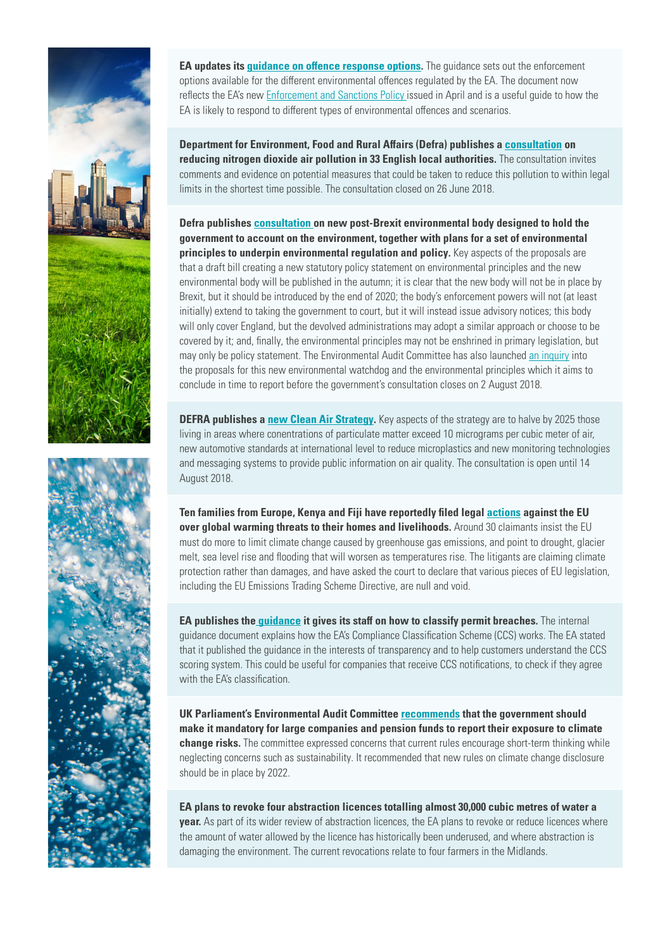

**EA updates its [guidance on offence response options](https://www.gov.uk/government/publications/environment-agency-enforcement-and-sanctions-policy).** The guidance sets out the enforcement options available for the different environmental offences regulated by the EA. The document now reflects the EA's new [Enforcement and Sanctions Policy](https://www.gov.uk/government/publications/environment-agency-enforcement-and-sanctions-policy) issued in April and is a useful guide to how the EA is likely to respond to different types of environmental offences and scenarios.

**Department for Environment, Food and Rural Affairs (Defra) publishes a [consultation](https://www.gov.uk/government/consultations/air-quality-reducing-nitrogen-dioxide-air-pollution-in-33-local-authorities-england) on reducing nitrogen dioxide air pollution in 33 English local authorities.** The consultation invites comments and evidence on potential measures that could be taken to reduce this pollution to within legal limits in the shortest time possible. The consultation closed on 26 June 2018.

**Defra publishes [consultation](https://consult.defra.gov.uk/eu/environmental-principles-and-governance/) on new post-Brexit environmental body designed to hold the government to account on the environment, together with plans for a set of environmental principles to underpin environmental regulation and policy.** Key aspects of the proposals are that a draft bill creating a new statutory policy statement on environmental principles and the new environmental body will be published in the autumn; it is clear that the new body will not be in place by Brexit, but it should be introduced by the end of 2020; the body's enforcement powers will not (at least initially) extend to taking the government to court, but it will instead issue advisory notices; this body will only cover England, but the devolved administrations may adopt a similar approach or choose to be covered by it; and, finally, the environmental principles may not be enshrined in primary legislation, but may only be policy statement. The Environmental Audit Committee has also launched [an inquiry](https://www.parliament.uk/business/committees/committees-a-z/commons-select/environmental-audit-committee/inquiries/parliament-2017/environmental-governance-17-19/) into the proposals for this new environmental watchdog and the environmental principles which it aims to conclude in time to report before the government's consultation closes on 2 August 2018.

**DEFRA publishes a [new Clean Air Strategy](https://consult.defra.gov.uk/environmental-quality/clean-air-strategy-consultation/).** Key aspects of the strategy are to halve by 2025 those living in areas where conentrations of particulate matter exceed 10 micrograms per cubic meter of air, new automotive standards at international level to reduce microplastics and new monitoring technologies and messaging systems to provide public information on air quality. The consultation is open until 14 August 2018.

**Ten families from Europe, Kenya and Fiji have reportedly filed legal [actions](https://peoplesclimatecase.caneurope.org/) against the EU over global warming threats to their homes and livelihoods.** Around 30 claimants insist the EU must do more to limit climate change caused by greenhouse gas emissions, and point to drought, glacier melt, sea level rise and flooding that will worsen as temperatures rise. The litigants are claiming climate protection rather than damages, and have asked the court to declare that various pieces of EU legislation, including the EU Emissions Trading Scheme Directive, are null and void.

**EA publishes the [guidance](https://assets.publishing.service.gov.uk/government/uploads/system/uploads/attachment_data/file/709756/Recording_non-compliance_using_the_Compliance_Classification_Scheme.pdf) it gives its staff on how to classify permit breaches.** The internal guidance document explains how the EA's Compliance Classification Scheme (CCS) works. The EA stated that it published the guidance in the interests of transparency and to help customers understand the CCS scoring system. This could be useful for companies that receive CCS notifications, to check if they agree with the FA's classification.

**UK Parliament's Environmental Audit Committee [recommend](file:///Volumes/Office-1/Job%20Bags/2018/6%20June%20-%2030841/31083%20-%20CS%20-%20FrESH%20Law%20Horizons%20-%20Newsletter/Word%20Docs/t.uk/business/committees/committees-a-z/commons-select/environmental-audit-committee/news-parliament-2017/greening-finance-report-published-17-19/)s that the government should make it mandatory for large companies and pension funds to report their exposure to climate change risks.** The committee expressed concerns that current rules encourage short-term thinking while neglecting concerns such as sustainability. It recommended that new rules on climate change disclosure should be in place by 2022.

**EA plans to revoke four abstraction licences totalling almost 30,000 cubic metres of water a year.** As part of its wider review of abstraction licences, the EA plans to revoke or reduce licences where the amount of water allowed by the licence has historically been underused, and where abstraction is damaging the environment. The current revocations relate to four farmers in the Midlands.